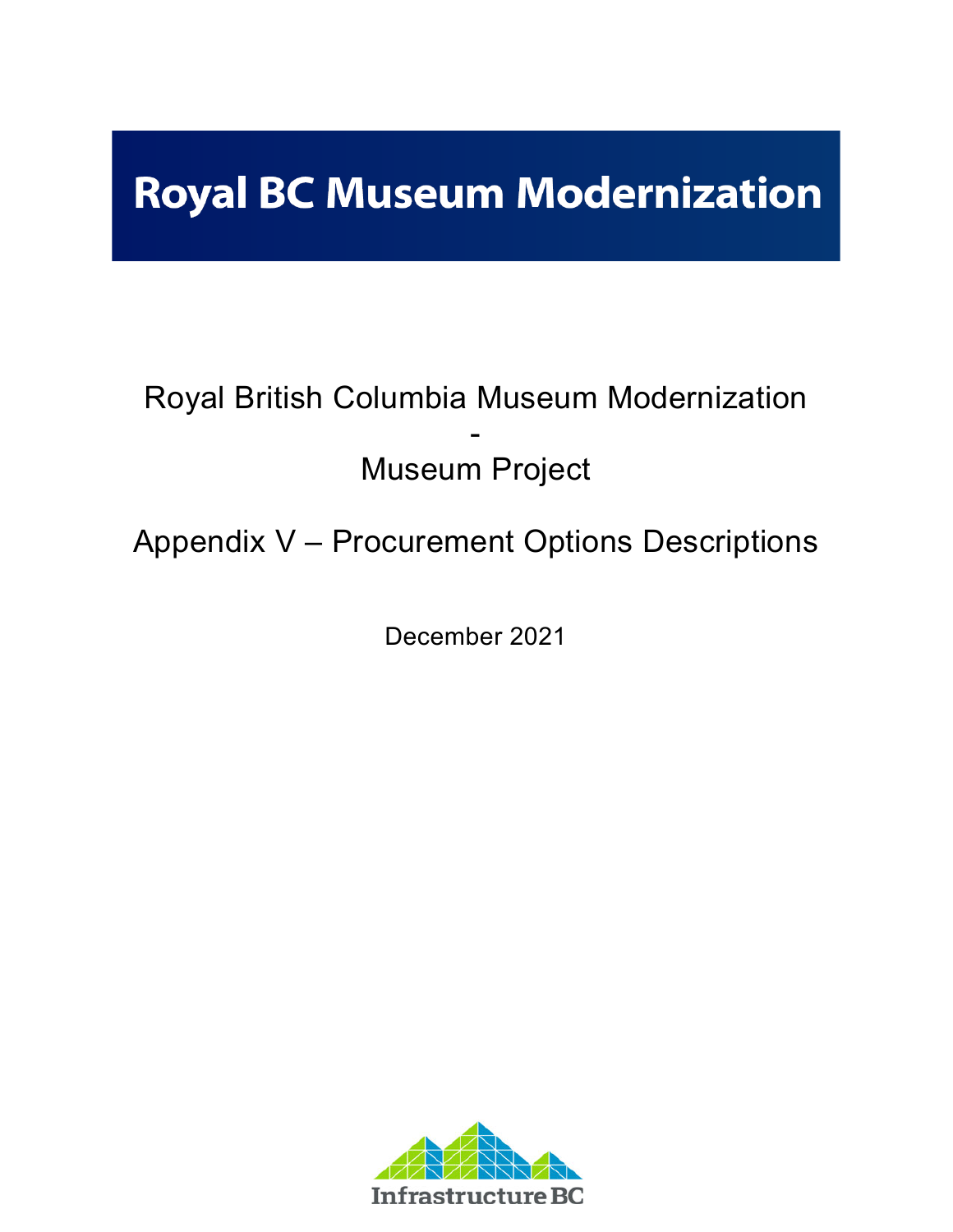# **Royal BC Museum Modernization**

# Royal British Columbia Museum Modernization - Museum Project

Appendix V – Procurement Options Descriptions

December 2021

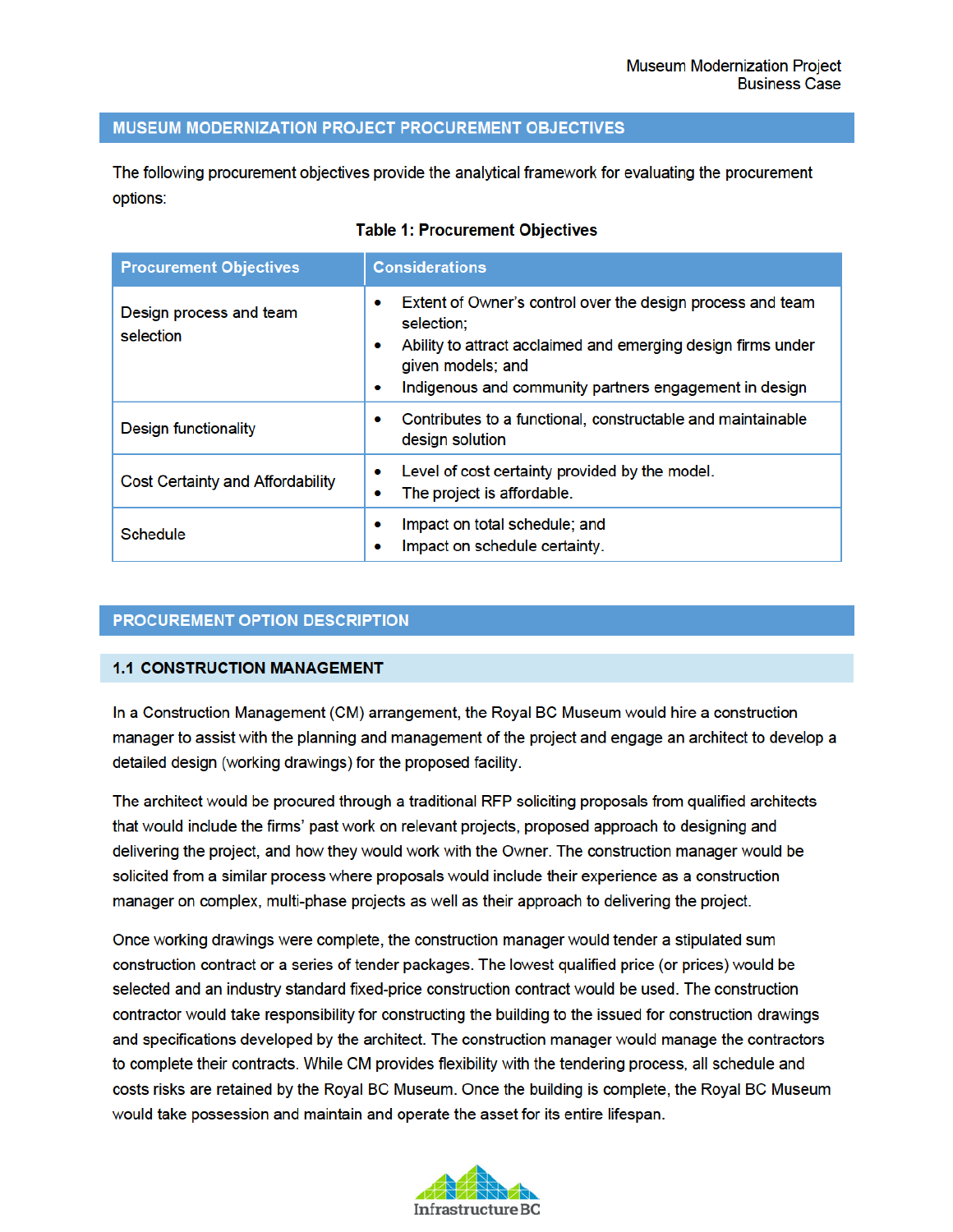#### MUSEUM MODERNIZATION PROJECT PROCUREMENT OBJECTIVES

The following procurement objectives provide the analytical framework for evaluating the procurement options:

| <b>Procurement Objectives</b>           | <b>Considerations</b>                                                                                                                                                                                                                  |
|-----------------------------------------|----------------------------------------------------------------------------------------------------------------------------------------------------------------------------------------------------------------------------------------|
| Design process and team<br>selection    | Extent of Owner's control over the design process and team<br>۰<br>selection;<br>Ability to attract acclaimed and emerging design firms under<br>۰<br>given models; and<br>Indigenous and community partners engagement in design<br>۰ |
| Design functionality                    | Contributes to a functional, constructable and maintainable<br>۰<br>design solution                                                                                                                                                    |
| <b>Cost Certainty and Affordability</b> | Level of cost certainty provided by the model.<br>۰<br>The project is affordable.<br>۰                                                                                                                                                 |
| Schedule                                | Impact on total schedule; and<br>۰<br>Impact on schedule certainty.                                                                                                                                                                    |

#### **Table 1: Procurement Objectives**

# PROCUREMENT OPTION DESCRIPTION

# **1.1 CONSTRUCTION MANAGEMENT**

In a Construction Management (CM) arrangement, the Royal BC Museum would hire a construction manager to assist with the planning and management of the project and engage an architect to develop a detailed design (working drawings) for the proposed facility.

The architect would be procured through a traditional RFP soliciting proposals from qualified architects that would include the firms' past work on relevant projects, proposed approach to designing and delivering the project, and how they would work with the Owner. The construction manager would be solicited from a similar process where proposals would include their experience as a construction manager on complex, multi-phase projects as well as their approach to delivering the project.

Once working drawings were complete, the construction manager would tender a stipulated sum construction contract or a series of tender packages. The lowest qualified price (or prices) would be selected and an industry standard fixed-price construction contract would be used. The construction contractor would take responsibility for constructing the building to the issued for construction drawings and specifications developed by the architect. The construction manager would manage the contractors to complete their contracts. While CM provides flexibility with the tendering process, all schedule and costs risks are retained by the Royal BC Museum. Once the building is complete, the Royal BC Museum would take possession and maintain and operate the asset for its entire lifespan.

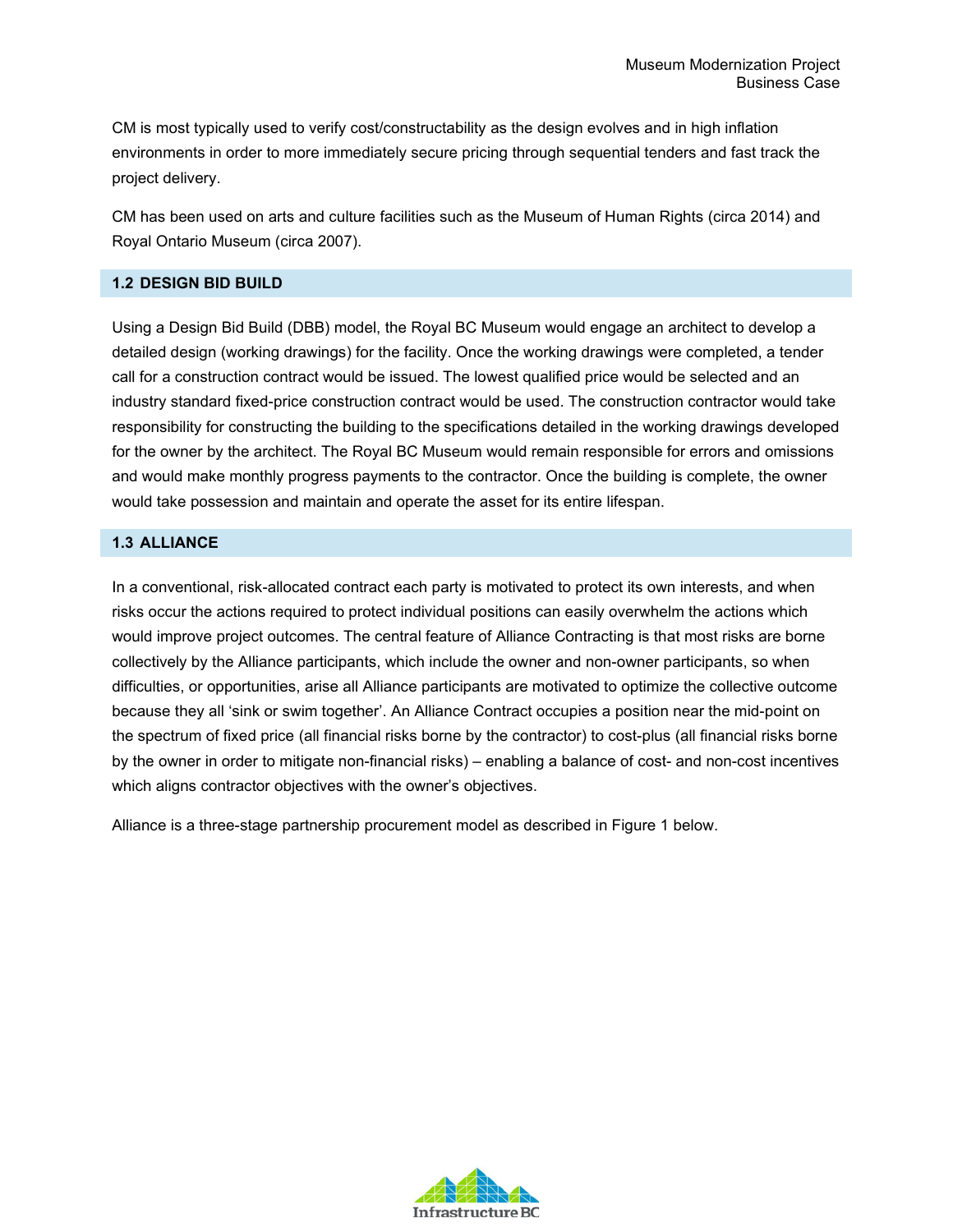CM is most typically used to verify cost/constructability as the design evolves and in high inflation environments in order to more immediately secure pricing through sequential tenders and fast track the project delivery.

CM has been used on arts and culture facilities such as the Museum of Human Rights (circa 2014) and Royal Ontario Museum (circa 2007).

# **1.2 DESIGN BID BUILD**

Using a Design Bid Build (DBB) model, the Royal BC Museum would engage an architect to develop a detailed design (working drawings) for the facility. Once the working drawings were completed, a tender call for a construction contract would be issued. The lowest qualified price would be selected and an industry standard fixed-price construction contract would be used. The construction contractor would take responsibility for constructing the building to the specifications detailed in the working drawings developed for the owner by the architect. The Royal BC Museum would remain responsible for errors and omissions and would make monthly progress payments to the contractor. Once the building is complete, the owner would take possession and maintain and operate the asset for its entire lifespan.

# **1.3 ALLIANCE**

In a conventional, risk-allocated contract each party is motivated to protect its own interests, and when risks occur the actions required to protect individual positions can easily overwhelm the actions which would improve project outcomes. The central feature of Alliance Contracting is that most risks are borne collectively by the Alliance participants, which include the owner and non-owner participants, so when difficulties, or opportunities, arise all Alliance participants are motivated to optimize the collective outcome because they all 'sink or swim together'. An Alliance Contract occupies a position near the mid-point on the spectrum of fixed price (all financial risks borne by the contractor) to cost-plus (all financial risks borne by the owner in order to mitigate non-financial risks) – enabling a balance of cost- and non-cost incentives which aligns contractor objectives with the owner's objectives.

Alliance is a three-stage partnership procurement model as described in Figure 1 below.

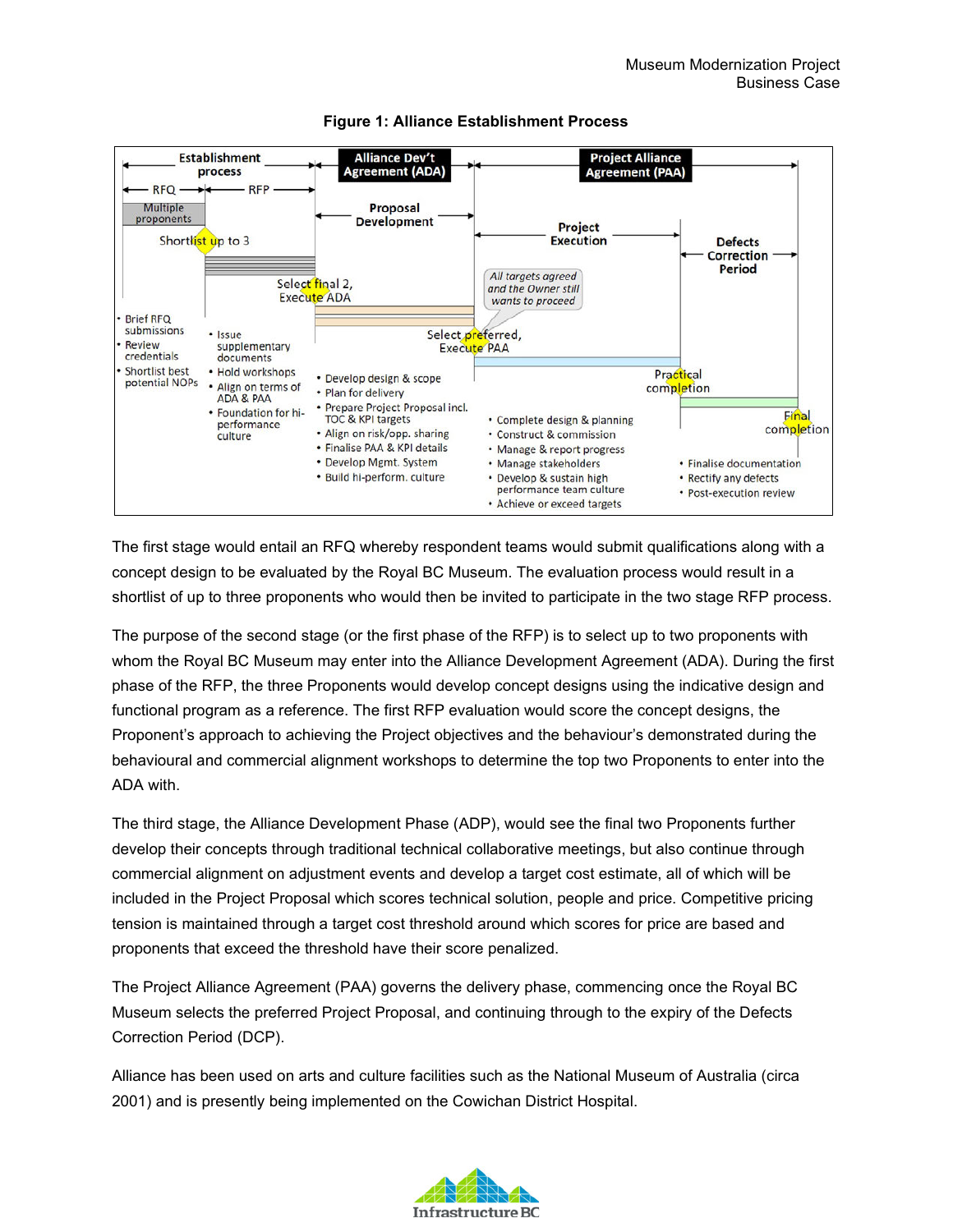

# **Figure 1: Alliance Establishment Process**

The first stage would entail an RFQ whereby respondent teams would submit qualifications along with a concept design to be evaluated by the Royal BC Museum. The evaluation process would result in a shortlist of up to three proponents who would then be invited to participate in the two stage RFP process.

The purpose of the second stage (or the first phase of the RFP) is to select up to two proponents with whom the Royal BC Museum may enter into the Alliance Development Agreement (ADA). During the first phase of the RFP, the three Proponents would develop concept designs using the indicative design and functional program as a reference. The first RFP evaluation would score the concept designs, the Proponent's approach to achieving the Project objectives and the behaviour's demonstrated during the behavioural and commercial alignment workshops to determine the top two Proponents to enter into the ADA with.

The third stage, the Alliance Development Phase (ADP), would see the final two Proponents further develop their concepts through traditional technical collaborative meetings, but also continue through commercial alignment on adjustment events and develop a target cost estimate, all of which will be included in the Project Proposal which scores technical solution, people and price. Competitive pricing tension is maintained through a target cost threshold around which scores for price are based and proponents that exceed the threshold have their score penalized.

The Project Alliance Agreement (PAA) governs the delivery phase, commencing once the Royal BC Museum selects the preferred Project Proposal, and continuing through to the expiry of the Defects Correction Period (DCP).

Alliance has been used on arts and culture facilities such as the National Museum of Australia (circa 2001) and is presently being implemented on the Cowichan District Hospital.

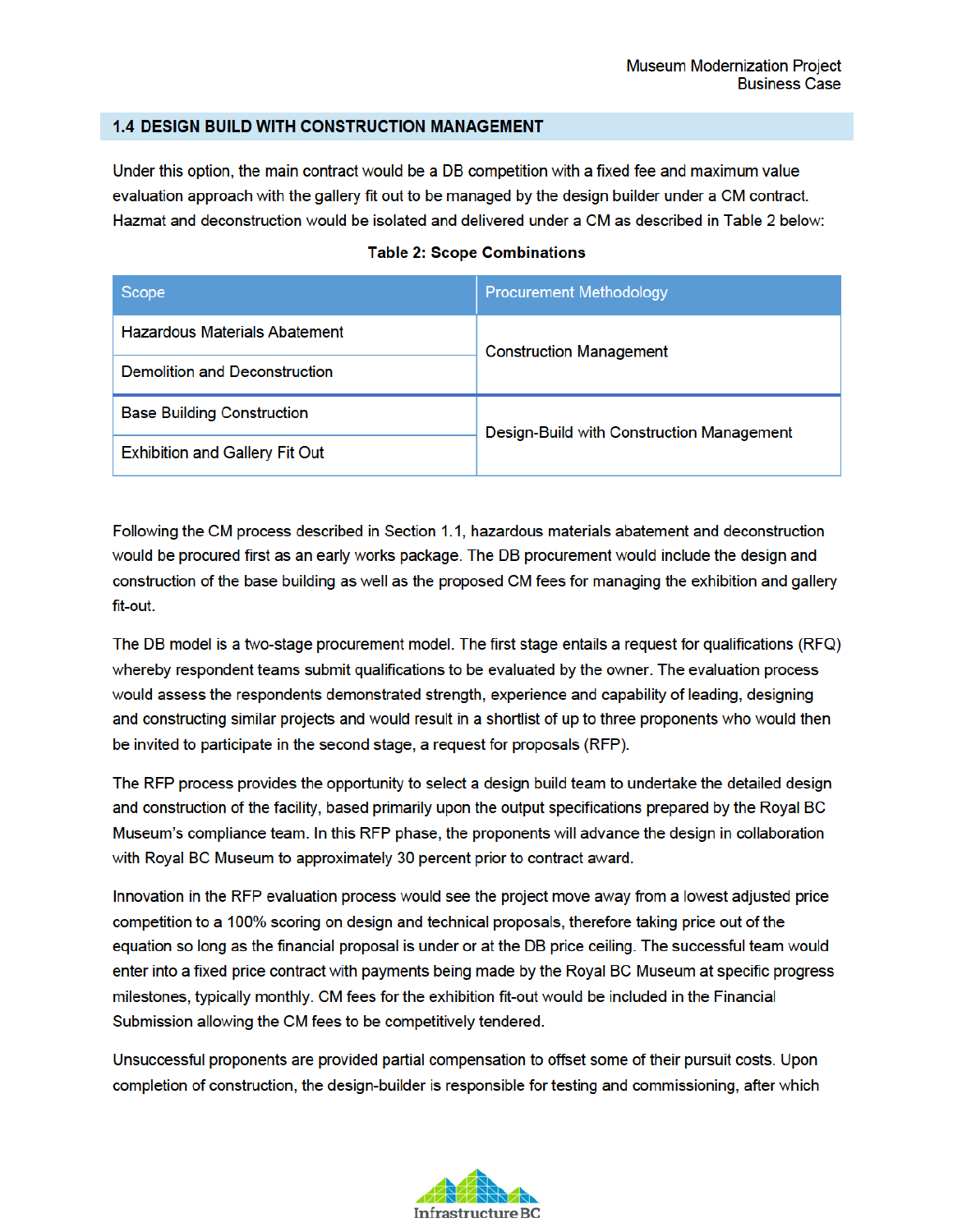#### **1.4 DESIGN BUILD WITH CONSTRUCTION MANAGEMENT**

Under this option, the main contract would be a DB competition with a fixed fee and maximum value evaluation approach with the gallery fit out to be managed by the design builder under a CM contract. Hazmat and deconstruction would be isolated and delivered under a CM as described in Table 2 below:

| Scope                                 | <b>Procurement Methodology</b>            |  |
|---------------------------------------|-------------------------------------------|--|
| <b>Hazardous Materials Abatement</b>  | <b>Construction Management</b>            |  |
| Demolition and Deconstruction         |                                           |  |
| <b>Base Building Construction</b>     | Design-Build with Construction Management |  |
| <b>Exhibition and Gallery Fit Out</b> |                                           |  |

#### **Table 2: Scope Combinations**

Following the CM process described in Section 1.1, hazardous materials abatement and deconstruction would be procured first as an early works package. The DB procurement would include the design and construction of the base building as well as the proposed CM fees for managing the exhibition and gallery fit-out.

The DB model is a two-stage procurement model. The first stage entails a request for qualifications (RFQ) whereby respondent teams submit qualifications to be evaluated by the owner. The evaluation process would assess the respondents demonstrated strength, experience and capability of leading, designing and constructing similar projects and would result in a shortlist of up to three proponents who would then be invited to participate in the second stage, a request for proposals (RFP).

The RFP process provides the opportunity to select a design build team to undertake the detailed design and construction of the facility, based primarily upon the output specifications prepared by the Royal BC Museum's compliance team. In this RFP phase, the proponents will advance the design in collaboration with Royal BC Museum to approximately 30 percent prior to contract award.

Innovation in the RFP evaluation process would see the project move away from a lowest adjusted price competition to a 100% scoring on design and technical proposals, therefore taking price out of the equation so long as the financial proposal is under or at the DB price ceiling. The successful team would enter into a fixed price contract with payments being made by the Royal BC Museum at specific progress milestones, typically monthly. CM fees for the exhibition fit-out would be included in the Financial Submission allowing the CM fees to be competitively tendered.

Unsuccessful proponents are provided partial compensation to offset some of their pursuit costs. Upon completion of construction, the design-builder is responsible for testing and commissioning, after which